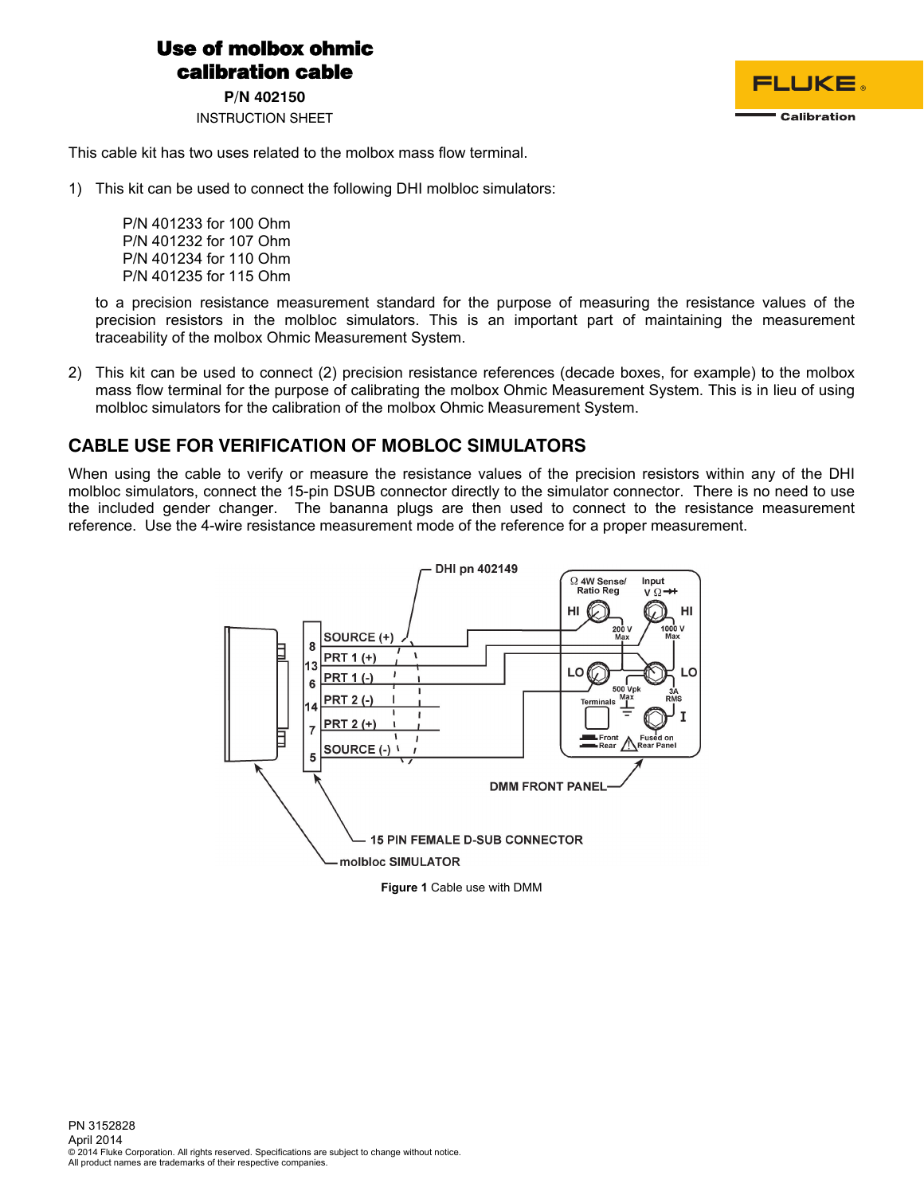## Use of molbox ohmic calibration cable

**P/N 402150** 

INSTRUCTION SHEET



This cable kit has two uses related to the molbox mass flow terminal.

1) This kit can be used to connect the following DHI molbloc simulators:

P/N 401233 for 100 Ohm P/N 401232 for 107 Ohm P/N 401234 for 110 Ohm P/N 401235 for 115 Ohm

to a precision resistance measurement standard for the purpose of measuring the resistance values of the precision resistors in the molbloc simulators. This is an important part of maintaining the measurement traceability of the molbox Ohmic Measurement System.

2) This kit can be used to connect (2) precision resistance references (decade boxes, for example) to the molbox mass flow terminal for the purpose of calibrating the molbox Ohmic Measurement System. This is in lieu of using molbloc simulators for the calibration of the molbox Ohmic Measurement System.

## **CABLE USE FOR VERIFICATION OF MOBLOC SIMULATORS**

When using the cable to verify or measure the resistance values of the precision resistors within any of the DHI molbloc simulators, connect the 15-pin DSUB connector directly to the simulator connector. There is no need to use the included gender changer. The bananna plugs are then used to connect to the resistance measurement reference. Use the 4-wire resistance measurement mode of the reference for a proper measurement.



**Figure 1** Cable use with DMM